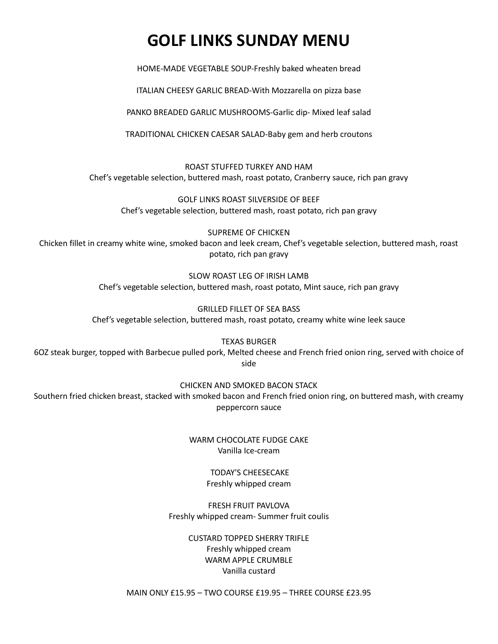# **GOLF LINKS SUNDAY MENU**

HOME-MADE VEGETABLE SOUP-Freshly baked wheaten bread

ITALIAN CHEESY GARLIC BREAD-With Mozzarella on pizza base

PANKO BREADED GARLIC MUSHROOMS-Garlic dip- Mixed leaf salad

TRADITIONAL CHICKEN CAESAR SALAD-Baby gem and herb croutons

ROAST STUFFED TURKEY AND HAM Chef's vegetable selection, buttered mash, roast potato, Cranberry sauce, rich pan gravy

GOLF LINKS ROAST SILVERSIDE OF BEEF Chef's vegetable selection, buttered mash, roast potato, rich pan gravy

SUPREME OF CHICKEN Chicken fillet in creamy white wine, smoked bacon and leek cream, Chef's vegetable selection, buttered mash, roast potato, rich pan gravy

> SLOW ROAST LEG OF IRISH LAMB Chef's vegetable selection, buttered mash, roast potato, Mint sauce, rich pan gravy

GRILLED FILLET OF SEA BASS Chef's vegetable selection, buttered mash, roast potato, creamy white wine leek sauce

TEXAS BURGER

6OZ steak burger, topped with Barbecue pulled pork, Melted cheese and French fried onion ring, served with choice of side

CHICKEN AND SMOKED BACON STACK

Southern fried chicken breast, stacked with smoked bacon and French fried onion ring, on buttered mash, with creamy peppercorn sauce

> WARM CHOCOLATE FUDGE CAKE Vanilla Ice-cream

> > TODAY'S CHEESECAKE Freshly whipped cream

FRESH FRUIT PAVLOVA Freshly whipped cream- Summer fruit coulis

> CUSTARD TOPPED SHERRY TRIFLE Freshly whipped cream WARM APPLE CRUMBLE Vanilla custard

MAIN ONLY £15.95 – TWO COURSE £19.95 – THREE COURSE £23.95